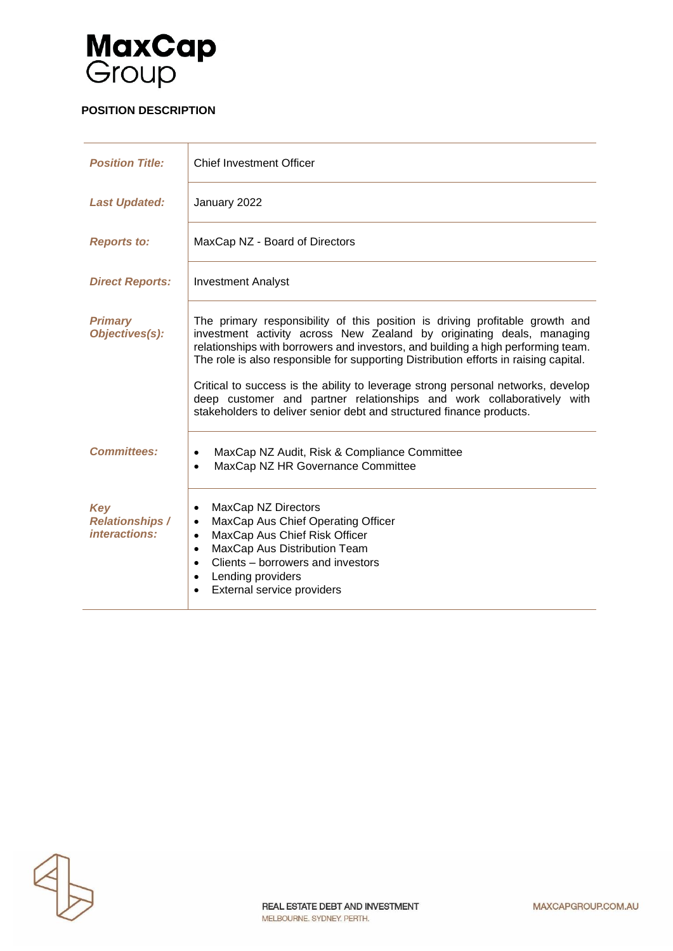

# **POSITION DESCRIPTION**

| <b>Position Title:</b>                         | <b>Chief Investment Officer</b>                                                                                                                                                                                                                                                                                                                                                                                                                                                                                                                                        |
|------------------------------------------------|------------------------------------------------------------------------------------------------------------------------------------------------------------------------------------------------------------------------------------------------------------------------------------------------------------------------------------------------------------------------------------------------------------------------------------------------------------------------------------------------------------------------------------------------------------------------|
| <b>Last Updated:</b>                           | January 2022                                                                                                                                                                                                                                                                                                                                                                                                                                                                                                                                                           |
| <b>Reports to:</b>                             | MaxCap NZ - Board of Directors                                                                                                                                                                                                                                                                                                                                                                                                                                                                                                                                         |
| <b>Direct Reports:</b>                         | <b>Investment Analyst</b>                                                                                                                                                                                                                                                                                                                                                                                                                                                                                                                                              |
| <b>Primary</b><br>Objectives(s):               | The primary responsibility of this position is driving profitable growth and<br>investment activity across New Zealand by originating deals, managing<br>relationships with borrowers and investors, and building a high performing team.<br>The role is also responsible for supporting Distribution efforts in raising capital.<br>Critical to success is the ability to leverage strong personal networks, develop<br>deep customer and partner relationships and work collaboratively with<br>stakeholders to deliver senior debt and structured finance products. |
| <b>Committees:</b>                             | MaxCap NZ Audit, Risk & Compliance Committee<br>$\bullet$<br>MaxCap NZ HR Governance Committee<br>$\bullet$                                                                                                                                                                                                                                                                                                                                                                                                                                                            |
| Key<br><b>Relationships /</b><br>interactions: | MaxCap NZ Directors<br>$\bullet$<br>MaxCap Aus Chief Operating Officer<br>$\bullet$<br>MaxCap Aus Chief Risk Officer<br>MaxCap Aus Distribution Team<br>Clients – borrowers and investors<br>$\bullet$<br>Lending providers<br>External service providers                                                                                                                                                                                                                                                                                                              |

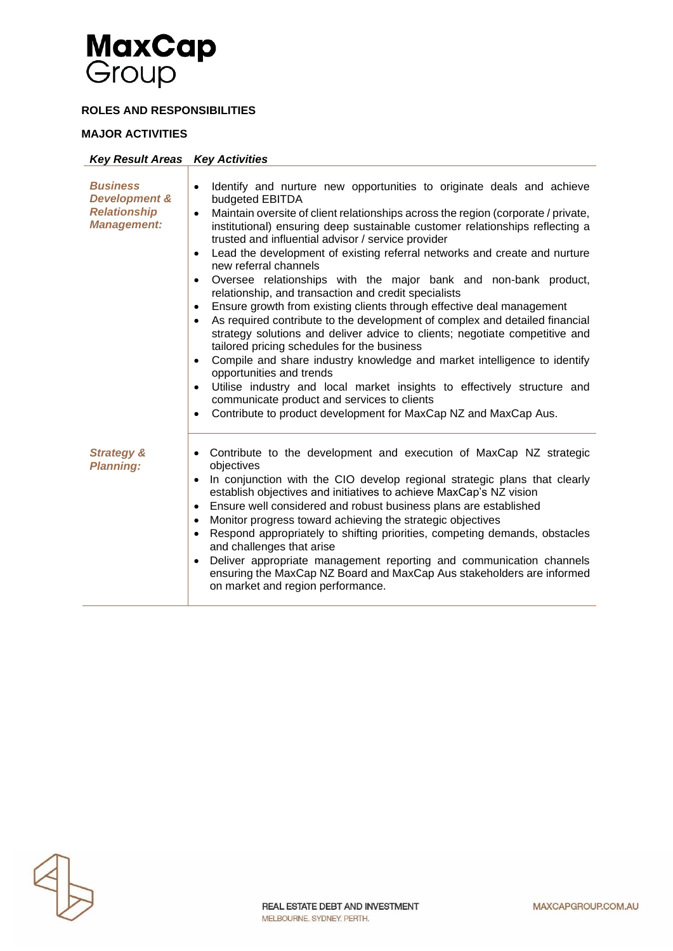

### **ROLES AND RESPONSIBILITIES**

#### **MAJOR ACTIVITIES**

| <b>Key Result Areas Key Activities</b>                                                   |                                                                                                                                                                                                                                                                                                                                                                                                                                                                                                                                                                                                                                                                                                                                                                                                                                                                                                                                                                                                                                                                                                                                                                                                                                                                      |
|------------------------------------------------------------------------------------------|----------------------------------------------------------------------------------------------------------------------------------------------------------------------------------------------------------------------------------------------------------------------------------------------------------------------------------------------------------------------------------------------------------------------------------------------------------------------------------------------------------------------------------------------------------------------------------------------------------------------------------------------------------------------------------------------------------------------------------------------------------------------------------------------------------------------------------------------------------------------------------------------------------------------------------------------------------------------------------------------------------------------------------------------------------------------------------------------------------------------------------------------------------------------------------------------------------------------------------------------------------------------|
| <b>Business</b><br><b>Development &amp;</b><br><b>Relationship</b><br><b>Management:</b> | Identify and nurture new opportunities to originate deals and achieve<br>$\bullet$<br>budgeted EBITDA<br>Maintain oversite of client relationships across the region (corporate / private,<br>$\bullet$<br>institutional) ensuring deep sustainable customer relationships reflecting a<br>trusted and influential advisor / service provider<br>Lead the development of existing referral networks and create and nurture<br>$\bullet$<br>new referral channels<br>Oversee relationships with the major bank and non-bank product,<br>$\bullet$<br>relationship, and transaction and credit specialists<br>Ensure growth from existing clients through effective deal management<br>$\bullet$<br>As required contribute to the development of complex and detailed financial<br>$\bullet$<br>strategy solutions and deliver advice to clients; negotiate competitive and<br>tailored pricing schedules for the business<br>Compile and share industry knowledge and market intelligence to identify<br>$\bullet$<br>opportunities and trends<br>Utilise industry and local market insights to effectively structure and<br>$\bullet$<br>communicate product and services to clients<br>Contribute to product development for MaxCap NZ and MaxCap Aus.<br>$\bullet$ |
| <b>Strategy &amp;</b><br><b>Planning:</b>                                                | Contribute to the development and execution of MaxCap NZ strategic<br>٠<br>objectives<br>In conjunction with the CIO develop regional strategic plans that clearly<br>$\bullet$<br>establish objectives and initiatives to achieve MaxCap's NZ vision<br>Ensure well considered and robust business plans are established<br>$\bullet$<br>Monitor progress toward achieving the strategic objectives<br>$\bullet$<br>Respond appropriately to shifting priorities, competing demands, obstacles<br>$\bullet$<br>and challenges that arise<br>Deliver appropriate management reporting and communication channels<br>$\bullet$<br>ensuring the MaxCap NZ Board and MaxCap Aus stakeholders are informed<br>on market and region performance.                                                                                                                                                                                                                                                                                                                                                                                                                                                                                                                          |

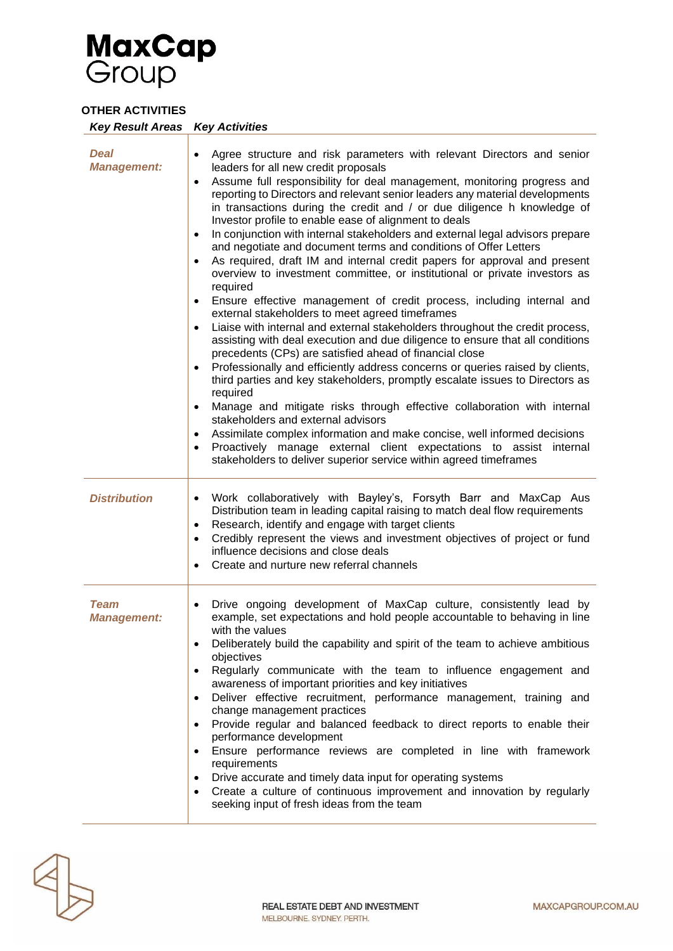

### **OTHER ACTIVITIES**

| <b>Key Result Areas Key Activities</b> |                                                                                                                                                                                                                                                                                                                                                                                                                                                                                                                                                                                                                                                                                                                                                                                                                                                                                                                                                                                                                                                                                                                                                                                                                                                                                                                                                                                                                                                                                                                                                                                                                                                   |
|----------------------------------------|---------------------------------------------------------------------------------------------------------------------------------------------------------------------------------------------------------------------------------------------------------------------------------------------------------------------------------------------------------------------------------------------------------------------------------------------------------------------------------------------------------------------------------------------------------------------------------------------------------------------------------------------------------------------------------------------------------------------------------------------------------------------------------------------------------------------------------------------------------------------------------------------------------------------------------------------------------------------------------------------------------------------------------------------------------------------------------------------------------------------------------------------------------------------------------------------------------------------------------------------------------------------------------------------------------------------------------------------------------------------------------------------------------------------------------------------------------------------------------------------------------------------------------------------------------------------------------------------------------------------------------------------------|
| <b>Deal</b><br><b>Management:</b>      | Agree structure and risk parameters with relevant Directors and senior<br>$\bullet$<br>leaders for all new credit proposals<br>Assume full responsibility for deal management, monitoring progress and<br>$\bullet$<br>reporting to Directors and relevant senior leaders any material developments<br>in transactions during the credit and / or due diligence h knowledge of<br>Investor profile to enable ease of alignment to deals<br>In conjunction with internal stakeholders and external legal advisors prepare<br>and negotiate and document terms and conditions of Offer Letters<br>As required, draft IM and internal credit papers for approval and present<br>overview to investment committee, or institutional or private investors as<br>required<br>Ensure effective management of credit process, including internal and<br>external stakeholders to meet agreed timeframes<br>Liaise with internal and external stakeholders throughout the credit process,<br>assisting with deal execution and due diligence to ensure that all conditions<br>precedents (CPs) are satisfied ahead of financial close<br>Professionally and efficiently address concerns or queries raised by clients,<br>third parties and key stakeholders, promptly escalate issues to Directors as<br>required<br>Manage and mitigate risks through effective collaboration with internal<br>stakeholders and external advisors<br>Assimilate complex information and make concise, well informed decisions<br>Proactively manage external client expectations to assist internal<br>stakeholders to deliver superior service within agreed timeframes |
| <b>Distribution</b>                    | Work collaboratively with Bayley's, Forsyth Barr and MaxCap Aus<br>Distribution team in leading capital raising to match deal flow requirements<br>Research, identify and engage with target clients<br>Credibly represent the views and investment objectives of project or fund<br>influence decisions and close deals<br>Create and nurture new referral channels                                                                                                                                                                                                                                                                                                                                                                                                                                                                                                                                                                                                                                                                                                                                                                                                                                                                                                                                                                                                                                                                                                                                                                                                                                                                              |
| <b>Team</b><br><b>Management:</b>      | Drive ongoing development of MaxCap culture, consistently lead by<br>$\bullet$<br>example, set expectations and hold people accountable to behaving in line<br>with the values<br>Deliberately build the capability and spirit of the team to achieve ambitious<br>objectives<br>Regularly communicate with the team to influence engagement and<br>awareness of important priorities and key initiatives<br>Deliver effective recruitment, performance management, training and<br>change management practices<br>Provide regular and balanced feedback to direct reports to enable their<br>performance development<br>Ensure performance reviews are completed in line with framework<br>requirements<br>Drive accurate and timely data input for operating systems<br>Create a culture of continuous improvement and innovation by regularly<br>$\bullet$<br>seeking input of fresh ideas from the team                                                                                                                                                                                                                                                                                                                                                                                                                                                                                                                                                                                                                                                                                                                                       |